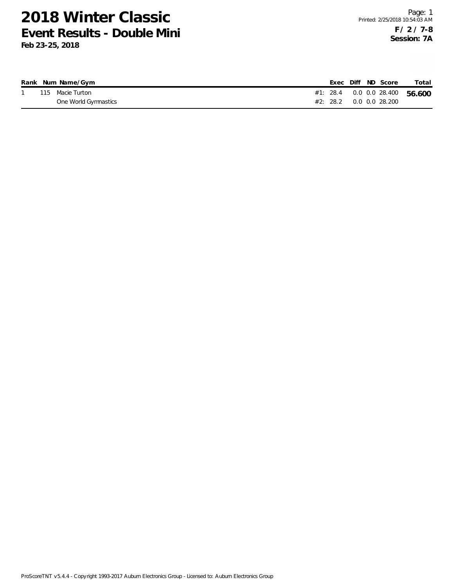|  | Rank Num Name/Gym    |  |  | Exec Diff ND Score | Total                              |
|--|----------------------|--|--|--------------------|------------------------------------|
|  | 115 Macie Turton     |  |  |                    | #1: 28.4  0.0  0.0  28.400  56.600 |
|  | One World Gymnastics |  |  |                    |                                    |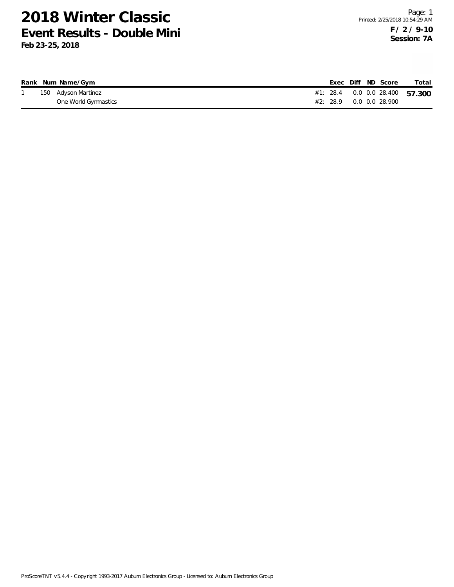|  | Rank Num Name/Gym    |  |  | Exec Diff ND Score | Total                              |
|--|----------------------|--|--|--------------------|------------------------------------|
|  | 150 Adyson Martinez  |  |  |                    | #1: 28.4  0.0  0.0  28.400  57.300 |
|  | One World Gymnastics |  |  |                    |                                    |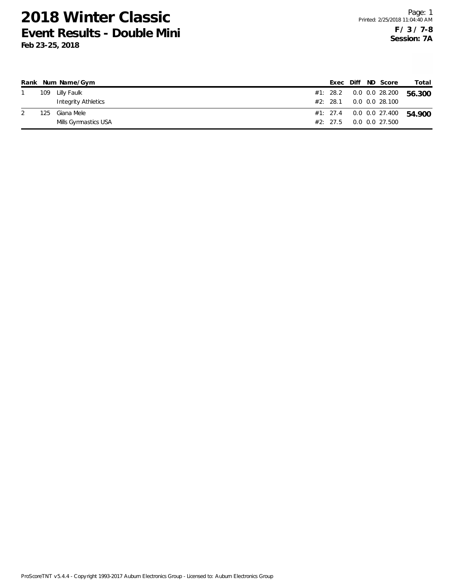|      | Rank Num Name/Gym    |          |  | Exec Diff ND Score            | Total  |
|------|----------------------|----------|--|-------------------------------|--------|
| 109  | Lilly Faulk          |          |  | #1: 28.2   0.0   0.0   28.200 | 56.300 |
|      | Integrity Athletics  | #2: 28.1 |  | 0.0 0.0 28.100                |        |
| 125. | Giana Mele           |          |  | #1: 27.4   0.0   0.0   27.400 | 54.900 |
|      | Mills Gymnastics USA | #2: 27.5 |  | 0.0 0.0 27.500                |        |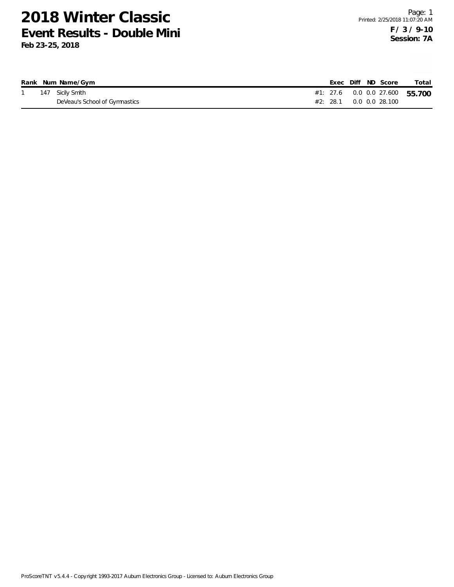|  | Rank Num Name/Gym             |  |  | Exec Diff ND Score                             | Total                              |
|--|-------------------------------|--|--|------------------------------------------------|------------------------------------|
|  | 147 Sicily Smith              |  |  |                                                | #1: 27.6  0.0  0.0  27.600  55.700 |
|  | DeVeau's School of Gymnastics |  |  | $#2: 28.1 \qquad 0.0 \qquad 0.0 \qquad 28.100$ |                                    |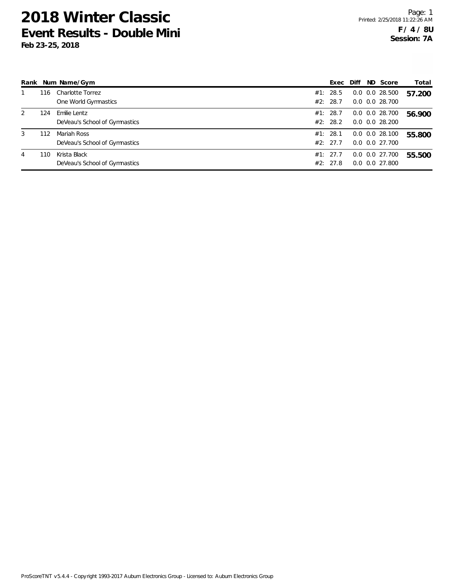|   |     | Rank Num Name/Gym                             | Exec                 | Diff | ND Score                                   | Total  |
|---|-----|-----------------------------------------------|----------------------|------|--------------------------------------------|--------|
|   | 116 | Charlotte Torrez<br>One World Gymnastics      | #1: 28.5<br>#2: 28.7 |      | $0.0$ $0.0$ 28.500<br>$0.0$ $0.0$ 28.700   | 57.200 |
|   |     |                                               |                      |      |                                            |        |
| 2 | 124 | Emilie Lentz<br>DeVeau's School of Gymnastics | #1: 28.7<br>#2: 28.2 |      | $0.0$ $0.0$ 28.700<br>$0.0$ $0.0$ 28.200   | 56.900 |
| 3 | 112 | Mariah Ross<br>DeVeau's School of Gymnastics  | #1: 28.1<br>#2: 27.7 |      | $0.0$ $0.0$ 28.100<br>$0.0$ $0.0$ $27.700$ | 55.800 |
| 4 | 110 | Krista Black<br>DeVeau's School of Gymnastics | #1: 27.7<br>#2: 27.8 |      | $0.0$ $0.0$ $27.700$<br>$0.0$ $0.0$ 27.800 | 55.500 |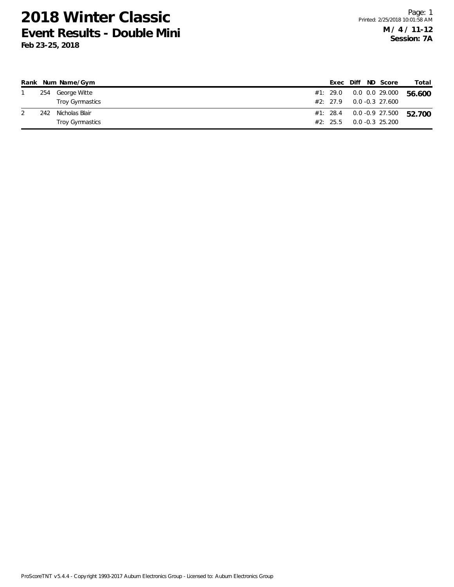|     | Rank Num Name/Gym |  |  | Exec Diff ND Score            | Total                              |
|-----|-------------------|--|--|-------------------------------|------------------------------------|
|     | 254 George Witte  |  |  | #1: 29.0   0.0   0.0   29.000 | 56.600                             |
|     | Troy Gymnastics   |  |  | $\#2$ : 27.9 0.0 -0.3 27.600  |                                    |
| 242 | Nicholas Blair    |  |  |                               | #1: 28.4  0.0 -0.9  27.500  52.700 |
|     | Troy Gymnastics   |  |  | $#2: 25.5 \t 0.0 -0.3 25.200$ |                                    |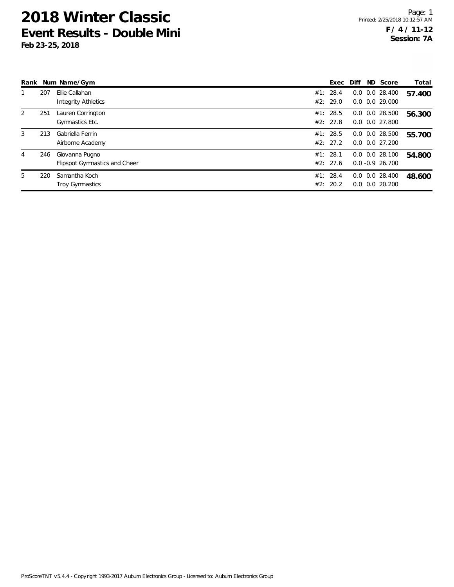| Rank |     | Num Name/Gym                  | Exec     | Diff | ND Score                   | Total  |
|------|-----|-------------------------------|----------|------|----------------------------|--------|
|      | 207 | Ellie Callahan                | #1: 28.4 |      | $0.0$ $0.0$ 28.400         | 57.400 |
|      |     | Integrity Athletics           | #2: 29.0 |      | $0.0$ $0.0$ 29.000         |        |
| 2    | 251 | Lauren Corrington             | #1: 28.5 |      | $0.0$ $0.0$ 28.500         | 56.300 |
|      |     | Gymnastics Etc.               | #2: 27.8 |      | $0.0$ $0.0$ 27.800         |        |
| 3    | 213 | Gabriella Ferrin              | #1: 28.5 |      | $0.0$ $0.0$ 28.500         | 55.700 |
|      |     | Airborne Academy              | #2: 27.2 |      | $0.0$ $0.0$ 27.200         |        |
| 4    | 246 | Giovanna Pugno                | #1: 28.1 |      | $0.0$ $0.0$ 28.100         | 54.800 |
|      |     | Flipspot Gymnastics and Cheer | #2: 27.6 |      | $0.0 - 0.9$ 26.700         |        |
| 5    | 220 | Samantha Koch                 | #1: 28.4 |      | $0.0$ $0.0$ 28.400         | 48.600 |
|      |     | <b>Troy Gymnastics</b>        | #2: 20.2 |      | $0.0\quad 0.0\quad 20.200$ |        |